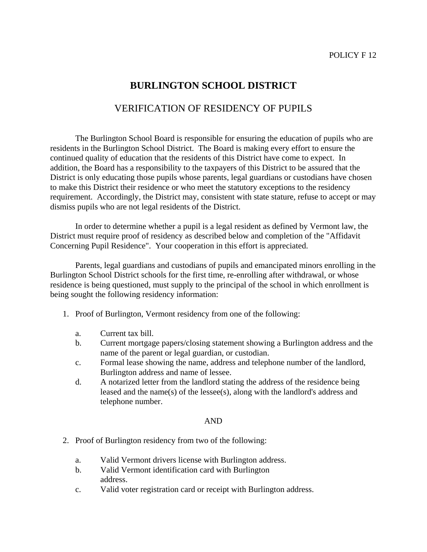## **BURLINGTON SCHOOL DISTRICT**

## VERIFICATION OF RESIDENCY OF PUPILS

 The Burlington School Board is responsible for ensuring the education of pupils who are residents in the Burlington School District. The Board is making every effort to ensure the continued quality of education that the residents of this District have come to expect. In addition, the Board has a responsibility to the taxpayers of this District to be assured that the District is only educating those pupils whose parents, legal guardians or custodians have chosen to make this District their residence or who meet the statutory exceptions to the residency requirement. Accordingly, the District may, consistent with state stature, refuse to accept or may dismiss pupils who are not legal residents of the District.

 In order to determine whether a pupil is a legal resident as defined by Vermont law, the District must require proof of residency as described below and completion of the "Affidavit Concerning Pupil Residence". Your cooperation in this effort is appreciated.

 Parents, legal guardians and custodians of pupils and emancipated minors enrolling in the Burlington School District schools for the first time, re-enrolling after withdrawal, or whose residence is being questioned, must supply to the principal of the school in which enrollment is being sought the following residency information:

- 1. Proof of Burlington, Vermont residency from one of the following:
	- a. Current tax bill.
	- b. Current mortgage papers/closing statement showing a Burlington address and the name of the parent or legal guardian, or custodian.
	- c. Formal lease showing the name, address and telephone number of the landlord, Burlington address and name of lessee.
	- d. A notarized letter from the landlord stating the address of the residence being leased and the name(s) of the lessee(s), along with the landlord's address and telephone number.

#### AND

- 2. Proof of Burlington residency from two of the following:
	- a. Valid Vermont drivers license with Burlington address.
	- b. Valid Vermont identification card with Burlington address.
	- c. Valid voter registration card or receipt with Burlington address.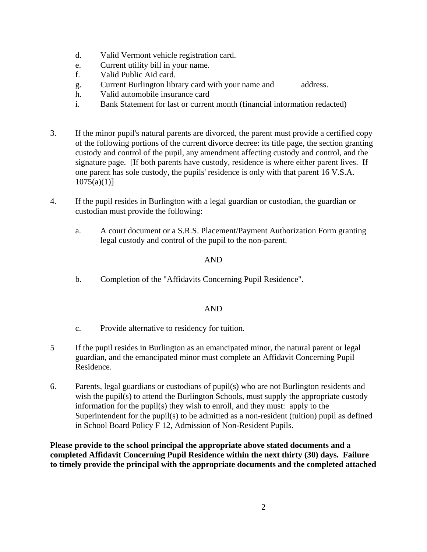- d. Valid Vermont vehicle registration card.
- e. Current utility bill in your name.
- f. Valid Public Aid card.
- g. Current Burlington library card with your name and address.
- h. Valid automobile insurance card
- i. Bank Statement for last or current month (financial information redacted)
- 3. If the minor pupil's natural parents are divorced, the parent must provide a certified copy of the following portions of the current divorce decree: its title page, the section granting custody and control of the pupil, any amendment affecting custody and control, and the signature page. [If both parents have custody, residence is where either parent lives. If one parent has sole custody, the pupils' residence is only with that parent 16 V.S.A.  $1075(a)(1)$ ]
- 4. If the pupil resides in Burlington with a legal guardian or custodian, the guardian or custodian must provide the following:
	- a. A court document or a S.R.S. Placement/Payment Authorization Form granting legal custody and control of the pupil to the non-parent.

### AND

b. Completion of the "Affidavits Concerning Pupil Residence".

### AND

- c. Provide alternative to residency for tuition.
- 5 If the pupil resides in Burlington as an emancipated minor, the natural parent or legal guardian, and the emancipated minor must complete an Affidavit Concerning Pupil Residence.
- 6. Parents, legal guardians or custodians of pupil(s) who are not Burlington residents and wish the pupil(s) to attend the Burlington Schools, must supply the appropriate custody information for the pupil(s) they wish to enroll, and they must: apply to the Superintendent for the pupil(s) to be admitted as a non-resident (tuition) pupil as defined in School Board Policy F 12, Admission of Non-Resident Pupils.

**Please provide to the school principal the appropriate above stated documents and a completed Affidavit Concerning Pupil Residence within the next thirty (30) days. Failure to timely provide the principal with the appropriate documents and the completed attached**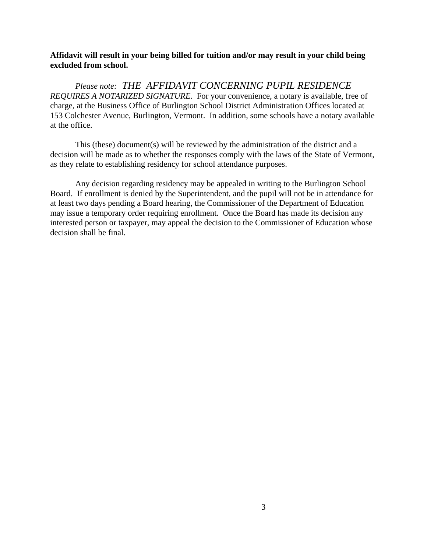### **Affidavit will result in your being billed for tuition and/or may result in your child being excluded from school.**

 *Please note: THE AFFIDAVIT CONCERNING PUPIL RESIDENCE REQUIRES A NOTARIZED SIGNATURE.* For your convenience, a notary is available, free of charge, at the Business Office of Burlington School District Administration Offices located at 153 Colchester Avenue, Burlington, Vermont. In addition, some schools have a notary available at the office.

 This (these) document(s) will be reviewed by the administration of the district and a decision will be made as to whether the responses comply with the laws of the State of Vermont, as they relate to establishing residency for school attendance purposes.

 Any decision regarding residency may be appealed in writing to the Burlington School Board. If enrollment is denied by the Superintendent, and the pupil will not be in attendance for at least two days pending a Board hearing, the Commissioner of the Department of Education may issue a temporary order requiring enrollment. Once the Board has made its decision any interested person or taxpayer, may appeal the decision to the Commissioner of Education whose decision shall be final.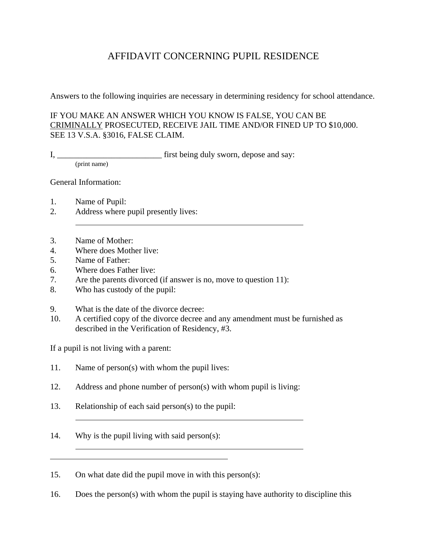# AFFIDAVIT CONCERNING PUPIL RESIDENCE

Answers to the following inquiries are necessary in determining residency for school attendance.

### IF YOU MAKE AN ANSWER WHICH YOU KNOW IS FALSE, YOU CAN BE CRIMINALLY PROSECUTED, RECEIVE JAIL TIME AND/OR FINED UP TO \$10,000. SEE 13 V.S.A. §3016, FALSE CLAIM.

I, \_\_\_\_\_\_\_\_\_\_\_\_\_\_\_\_\_\_\_\_\_\_\_\_\_\_\_\_\_\_\_\_ first being duly sworn, depose and say:

(print name)

General Information:

- 1. Name of Pupil:
- 2. Address where pupil presently lives:
- 3. Name of Mother:
- 4. Where does Mother live:
- 5. Name of Father:

 $\overline{a}$ 

- 6. Where does Father live:
- 7. Are the parents divorced (if answer is no, move to question 11):
- 8. Who has custody of the pupil:
- 9. What is the date of the divorce decree:
- 10. A certified copy of the divorce decree and any amendment must be furnished as described in the Verification of Residency, #3.

If a pupil is not living with a parent:

- 11. Name of person(s) with whom the pupil lives:
- 12. Address and phone number of person(s) with whom pupil is living:
- 13. Relationship of each said person(s) to the pupil:
- 14. Why is the pupil living with said person(s):
- 15. On what date did the pupil move in with this person(s):
- 16. Does the person(s) with whom the pupil is staying have authority to discipline this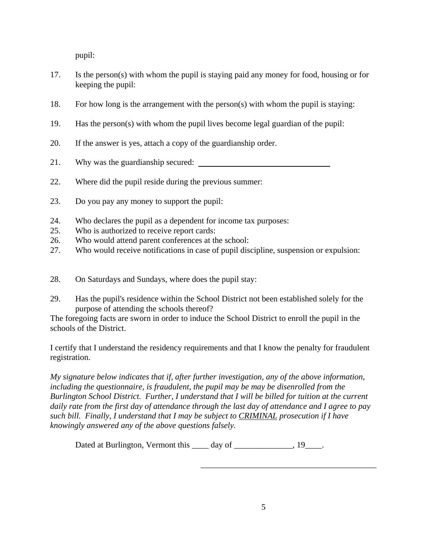pupil:

- 17. Is the person(s) with whom the pupil is staying paid any money for food, housing or for keeping the pupil:
- 18. For how long is the arrangement with the person(s) with whom the pupil is staying:
- 19. Has the person(s) with whom the pupil lives become legal guardian of the pupil:
- 20. If the answer is yes, attach a copy of the guardianship order.
- 21. Why was the guardianship secured:
- 22. Where did the pupil reside during the previous summer:
- 23. Do you pay any money to support the pupil:
- 24. Who declares the pupil as a dependent for income tax purposes:
- 25. Who is authorized to receive report cards:
- 26. Who would attend parent conferences at the school:
- 27. Who would receive notifications in case of pupil discipline, suspension or expulsion:
- 28. On Saturdays and Sundays, where does the pupil stay:
- 29. Has the pupil's residence within the School District not been established solely for the purpose of attending the schools thereof?

The foregoing facts are sworn in order to induce the School District to enroll the pupil in the schools of the District.

I certify that I understand the residency requirements and that I know the penalty for fraudulent registration.

*My signature below indicates that if, after further investigation, any of the above information, including the questionnaire, is fraudulent, the pupil may be may be disenrolled from the Burlington School District. Further, I understand that I will be billed for tuition at the current daily rate from the first day of attendance through the last day of attendance and I agree to pay such bill. Finally, I understand that I may be subject to CRIMINAL prosecution if I have knowingly answered any of the above questions falsely.* 

 $\overline{\phantom{a}}$  , which is a set of the set of the set of the set of the set of the set of the set of the set of the set of the set of the set of the set of the set of the set of the set of the set of the set of the set of th

Dated at Burlington, Vermont this \_\_\_\_ day of \_\_\_\_\_\_\_\_\_\_\_\_\_, 19\_\_\_\_.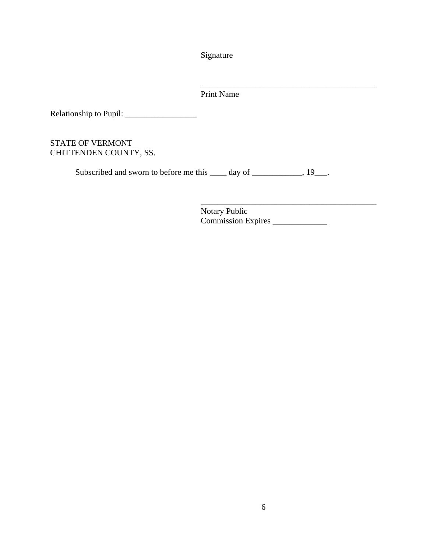Signature

Print Name

 $\overline{\phantom{a}}$  , which is a set of the set of the set of the set of the set of the set of the set of the set of the set of the set of the set of the set of the set of the set of the set of the set of the set of the set of th

Relationship to Pupil: \_\_\_\_\_\_\_\_\_\_\_\_\_\_\_\_\_

## STATE OF VERMONT CHITTENDEN COUNTY, SS.

Subscribed and sworn to before me this \_\_\_\_ day of \_\_\_\_\_\_\_\_\_\_, 19\_\_\_.

 $\overline{\phantom{a}}$  , which is a set of the set of the set of the set of the set of the set of the set of the set of the set of the set of the set of the set of the set of the set of the set of the set of the set of the set of th Notary Public Commission Expires \_\_\_\_\_\_\_\_\_\_\_\_\_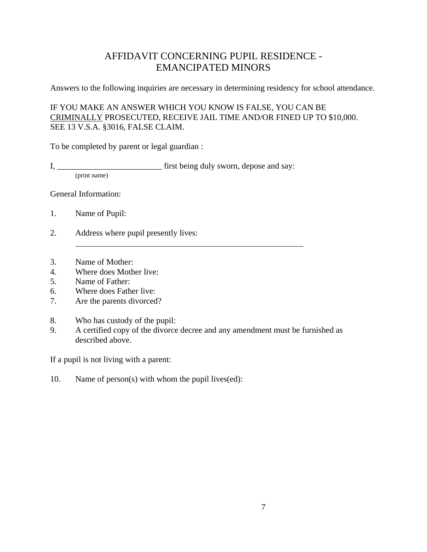# AFFIDAVIT CONCERNING PUPIL RESIDENCE - EMANCIPATED MINORS

Answers to the following inquiries are necessary in determining residency for school attendance.

IF YOU MAKE AN ANSWER WHICH YOU KNOW IS FALSE, YOU CAN BE CRIMINALLY PROSECUTED, RECEIVE JAIL TIME AND/OR FINED UP TO \$10,000. SEE 13 V.S.A. §3016, FALSE CLAIM.

To be completed by parent or legal guardian :

I, \_\_\_\_\_\_\_\_\_\_\_\_\_\_\_\_\_\_\_\_\_\_\_\_\_ first being duly sworn, depose and say:

(print name)

General Information:

- 1. Name of Pupil:
- 2. Address where pupil presently lives:
- 3. Name of Mother:
- 4. Where does Mother live:
- 5. Name of Father:
- 6. Where does Father live:
- 7. Are the parents divorced?
- 8. Who has custody of the pupil:
- 9. A certified copy of the divorce decree and any amendment must be furnished as described above.

If a pupil is not living with a parent:

10. Name of person(s) with whom the pupil lives(ed):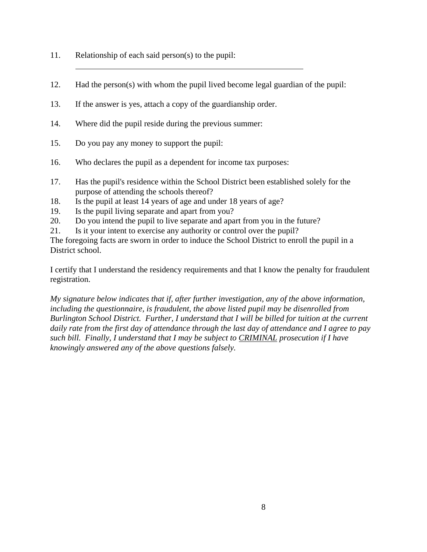- 11. Relationship of each said person(s) to the pupil:
- 12. Had the person(s) with whom the pupil lived become legal guardian of the pupil:
- 13. If the answer is yes, attach a copy of the guardianship order.
- 14. Where did the pupil reside during the previous summer:
- 15. Do you pay any money to support the pupil:
- 16. Who declares the pupil as a dependent for income tax purposes:
- 17. Has the pupil's residence within the School District been established solely for the purpose of attending the schools thereof?
- 18. Is the pupil at least 14 years of age and under 18 years of age?
- 19. Is the pupil living separate and apart from you?
- 20. Do you intend the pupil to live separate and apart from you in the future?
- 21. Is it your intent to exercise any authority or control over the pupil?

The foregoing facts are sworn in order to induce the School District to enroll the pupil in a District school.

I certify that I understand the residency requirements and that I know the penalty for fraudulent registration.

*My signature below indicates that if, after further investigation, any of the above information, including the questionnaire, is fraudulent, the above listed pupil may be disenrolled from Burlington School District. Further, I understand that I will be billed for tuition at the current daily rate from the first day of attendance through the last day of attendance and I agree to pay such bill. Finally, I understand that I may be subject to CRIMINAL prosecution if I have knowingly answered any of the above questions falsely.*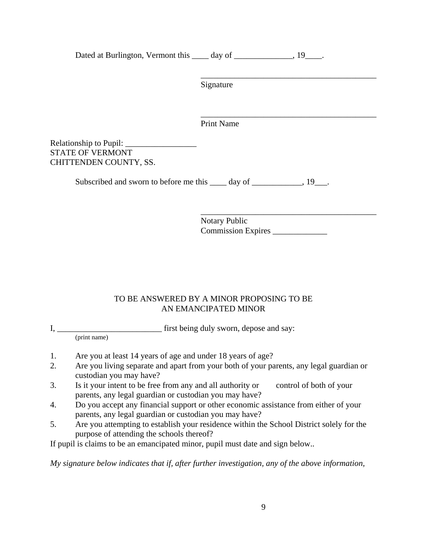Dated at Burlington, Vermont this \_\_\_\_\_ day of \_\_\_\_\_\_\_\_\_\_\_\_\_, 19\_\_\_\_.

 $\overline{\phantom{a}}$  , and the contract of the contract of the contract of the contract of the contract of the contract of the contract of the contract of the contract of the contract of the contract of the contract of the contrac Signature

Print Name

 $\overline{\phantom{a}}$  , which is a set of the set of the set of the set of the set of the set of the set of the set of the set of the set of the set of the set of the set of the set of the set of the set of the set of the set of th

Relationship to Pupil: STATE OF VERMONT CHITTENDEN COUNTY, SS.

Subscribed and sworn to before me this \_\_\_\_\_ day of \_\_\_\_\_\_\_\_\_\_\_\_\_\_\_\_, 19\_\_\_.

 $\overline{\phantom{a}}$  , and the contract of the contract of the contract of the contract of the contract of the contract of the contract of the contract of the contract of the contract of the contract of the contract of the contrac Notary Public Commission Expires \_\_\_\_\_\_\_\_\_\_\_\_\_

## TO BE ANSWERED BY A MINOR PROPOSING TO BE AN EMANCIPATED MINOR

I, \_\_\_\_\_\_\_\_\_\_\_\_\_\_\_\_\_\_\_\_\_\_\_\_\_ first being duly sworn, depose and say:

(print name)

- 1. Are you at least 14 years of age and under 18 years of age?
- 2. Are you living separate and apart from your both of your parents, any legal guardian or custodian you may have?
- 3. Is it your intent to be free from any and all authority or control of both of your parents, any legal guardian or custodian you may have?
- 4. Do you accept any financial support or other economic assistance from either of your parents, any legal guardian or custodian you may have?
- 5. Are you attempting to establish your residence within the School District solely for the purpose of attending the schools thereof?

If pupil is claims to be an emancipated minor, pupil must date and sign below..

*My signature below indicates that if, after further investigation, any of the above information,*